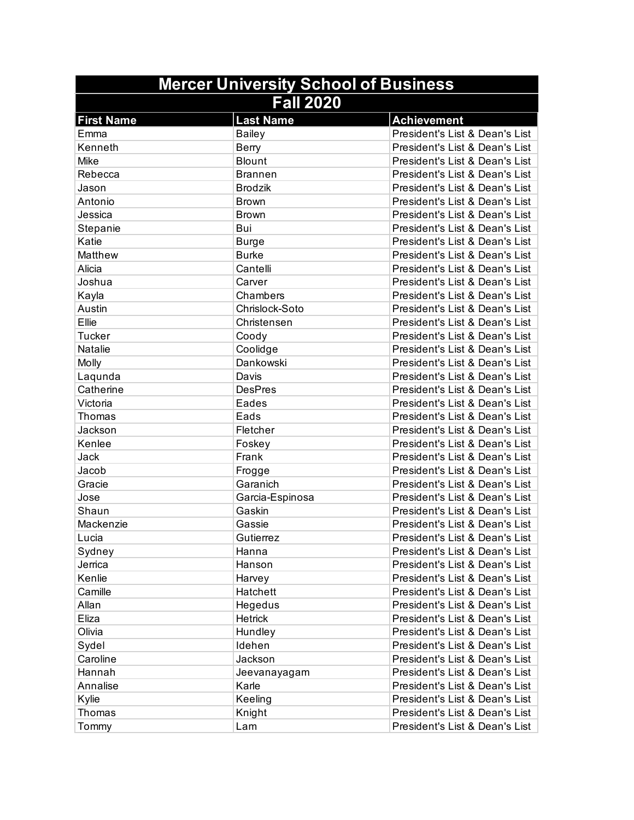| <b>Mercer University School of Business</b> |                  |                                |
|---------------------------------------------|------------------|--------------------------------|
|                                             | <b>Fall 2020</b> |                                |
| <b>First Name</b>                           | <b>Last Name</b> | <b>Achievement</b>             |
| Emma                                        | <b>Bailey</b>    | President's List & Dean's List |
| Kenneth                                     | Berry            | President's List & Dean's List |
| Mike                                        | <b>Blount</b>    | President's List & Dean's List |
| Rebecca                                     | <b>Brannen</b>   | President's List & Dean's List |
| Jason                                       | <b>Brodzik</b>   | President's List & Dean's List |
| Antonio                                     | <b>Brown</b>     | President's List & Dean's List |
| Jessica                                     | <b>Brown</b>     | President's List & Dean's List |
| Stepanie                                    | Bui              | President's List & Dean's List |
| Katie                                       | <b>Burge</b>     | President's List & Dean's List |
| Matthew                                     | <b>Burke</b>     | President's List & Dean's List |
| Alicia                                      | Cantelli         | President's List & Dean's List |
| Joshua                                      | Carver           | President's List & Dean's List |
| Kayla                                       | Chambers         | President's List & Dean's List |
| Austin                                      | Chrislock-Soto   | President's List & Dean's List |
| Ellie                                       | Christensen      | President's List & Dean's List |
| <b>Tucker</b>                               | Coody            | President's List & Dean's List |
| Natalie                                     | Coolidge         | President's List & Dean's List |
| Molly                                       | Dankowski        | President's List & Dean's List |
| Laqunda                                     | Davis            | President's List & Dean's List |
| Catherine                                   | <b>DesPres</b>   | President's List & Dean's List |
| Victoria                                    | Eades            | President's List & Dean's List |
| Thomas                                      | Eads             | President's List & Dean's List |
| Jackson                                     | Fletcher         | President's List & Dean's List |
| Kenlee                                      | Foskey           | President's List & Dean's List |
| Jack                                        | Frank            | President's List & Dean's List |
| Jacob                                       | Frogge           | President's List & Dean's List |
| Gracie                                      | Garanich         | President's List & Dean's List |
| Jose                                        | Garcia-Espinosa  | President's List & Dean's List |
| Shaun                                       | Gaskin           | President's List & Dean's List |
| Mackenzie                                   | Gassie           | President's List & Dean's List |
| Lucia                                       | Gutierrez        | President's List & Dean's List |
| Sydney                                      | Hanna            | President's List & Dean's List |
| Jerrica                                     | Hanson           | President's List & Dean's List |
| Kenlie                                      | Harvey           | President's List & Dean's List |
| Camille                                     | Hatchett         | President's List & Dean's List |
| Allan                                       | Hegedus          | President's List & Dean's List |
| Eliza                                       | Hetrick          | President's List & Dean's List |
| Olivia                                      | Hundley          | President's List & Dean's List |
| Sydel                                       | Idehen           | President's List & Dean's List |
| Caroline                                    | Jackson          | President's List & Dean's List |
| Hannah                                      | Jeevanayagam     | President's List & Dean's List |
| Annalise                                    | Karle            | President's List & Dean's List |
| Kylie                                       | Keeling          | President's List & Dean's List |
| Thomas                                      | Knight           | President's List & Dean's List |
| Tommy                                       | Lam              | President's List & Dean's List |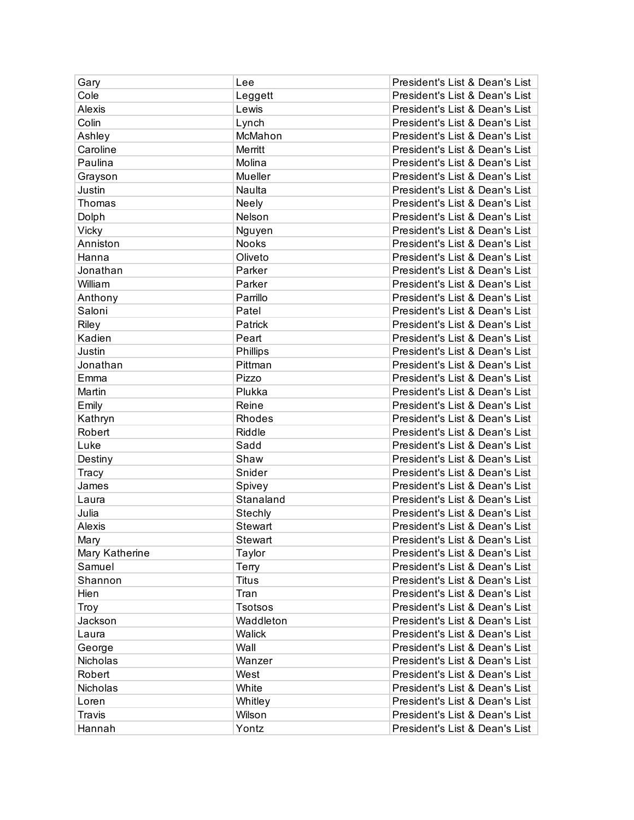| Gary           | Lee             | President's List & Dean's List |
|----------------|-----------------|--------------------------------|
| Cole           | Leggett         | President's List & Dean's List |
| Alexis         | Lewis           | President's List & Dean's List |
| Colin          | Lynch           | President's List & Dean's List |
| Ashley         | McMahon         | President's List & Dean's List |
| Caroline       | Merritt         | President's List & Dean's List |
| Paulina        | Molina          | President's List & Dean's List |
| Grayson        | Mueller         | President's List & Dean's List |
| Justin         | Naulta          | President's List & Dean's List |
| Thomas         | Neely           | President's List & Dean's List |
| Dolph          | Nelson          | President's List & Dean's List |
| Vicky          | Nguyen          | President's List & Dean's List |
| Anniston       | Nooks           | President's List & Dean's List |
| Hanna          | Oliveto         | President's List & Dean's List |
| Jonathan       | Parker          | President's List & Dean's List |
| William        | Parker          | President's List & Dean's List |
| Anthony        | Parrillo        | President's List & Dean's List |
| Saloni         | Patel           | President's List & Dean's List |
| Riley          | Patrick         | President's List & Dean's List |
| Kadien         | Peart           | President's List & Dean's List |
| Justin         | <b>Phillips</b> | President's List & Dean's List |
| Jonathan       | Pittman         | President's List & Dean's List |
| Emma           | Pizzo           | President's List & Dean's List |
| Martin         | Plukka          | President's List & Dean's List |
| Emily          | Reine           | President's List & Dean's List |
| Kathryn        | Rhodes          | President's List & Dean's List |
| Robert         | Riddle          | President's List & Dean's List |
| Luke           | Sadd            | President's List & Dean's List |
| Destiny        | Shaw            | President's List & Dean's List |
| Tracy          | Snider          | President's List & Dean's List |
| James          | Spivey          | President's List & Dean's List |
| Laura          | Stanaland       | President's List & Dean's List |
| Julia          | Stechly         | President's List & Dean's List |
| Alexis         | Stewart         | President's List & Dean's List |
| Mary           | Stewart         | President's List & Dean's List |
| Mary Katherine | Taylor          | President's List & Dean's List |
| Samuel         | Terry           | President's List & Dean's List |
| Shannon        | <b>Titus</b>    | President's List & Dean's List |
| Hien           | Tran            | President's List & Dean's List |
| Troy           | <b>Tsotsos</b>  | President's List & Dean's List |
| Jackson        | Waddleton       | President's List & Dean's List |
| Laura          | Walick          | President's List & Dean's List |
| George         | Wall            | President's List & Dean's List |
| Nicholas       | Wanzer          | President's List & Dean's List |
| Robert         | West            | President's List & Dean's List |
| Nicholas       | White           | President's List & Dean's List |
| Loren          | Whitley         | President's List & Dean's List |
| Travis         | Wilson          | President's List & Dean's List |
| Hannah         | Yontz           | President's List & Dean's List |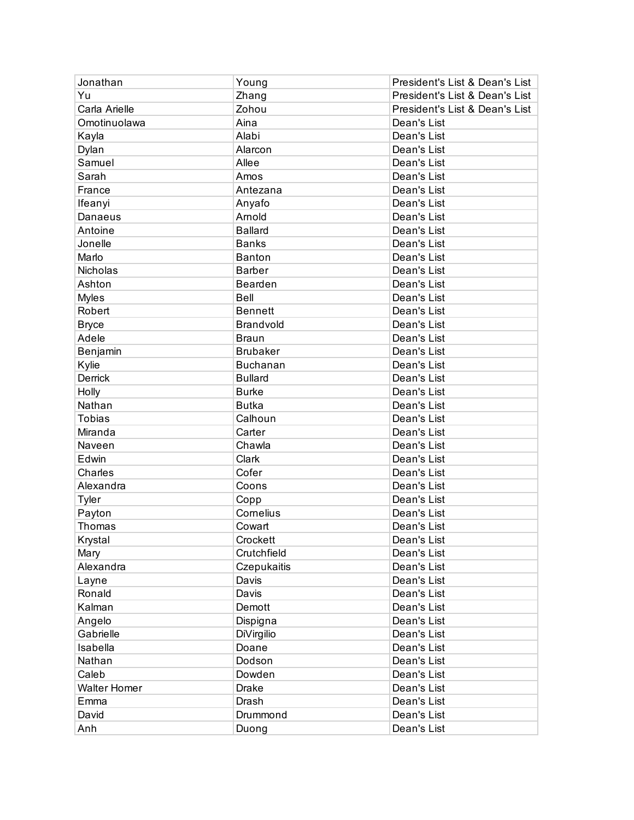| Jonathan            | Young             | President's List & Dean's List |
|---------------------|-------------------|--------------------------------|
| Yu                  | Zhang             | President's List & Dean's List |
| Carla Arielle       | Zohou             | President's List & Dean's List |
| Omotinuolawa        | Aina              | Dean's List                    |
| Kayla               | Alabi             | Dean's List                    |
| Dylan               | Alarcon           | Dean's List                    |
| Samuel              | Allee             | Dean's List                    |
| Sarah               | Amos              | Dean's List                    |
| France              | Antezana          | Dean's List                    |
| Ifeanyi             | Anyafo            | Dean's List                    |
| Danaeus             | Arnold            | Dean's List                    |
| Antoine             | <b>Ballard</b>    | Dean's List                    |
| Jonelle             | <b>Banks</b>      | Dean's List                    |
| Marlo               | <b>Banton</b>     | Dean's List                    |
| Nicholas            | <b>Barber</b>     | Dean's List                    |
| Ashton              | Bearden           | Dean's List                    |
| <b>Myles</b>        | Bell              | Dean's List                    |
| Robert              | <b>Bennett</b>    | Dean's List                    |
| <b>Bryce</b>        | Brandvold         | Dean's List                    |
| Adele               | <b>Braun</b>      | Dean's List                    |
| Benjamin            | <b>Brubaker</b>   | Dean's List                    |
| Kylie               | <b>Buchanan</b>   | Dean's List                    |
| Derrick             | <b>Bullard</b>    | Dean's List                    |
| Holly               | <b>Burke</b>      | Dean's List                    |
| Nathan              | <b>Butka</b>      | Dean's List                    |
| <b>Tobias</b>       | Calhoun           | Dean's List                    |
| Miranda             | Carter            | Dean's List                    |
| Naveen              | Chawla            | Dean's List                    |
| Edwin               | Clark             | Dean's List                    |
| Charles             | Cofer             | Dean's List                    |
| Alexandra           | Coons             | Dean's List                    |
| <b>Tyler</b>        | Copp              | Dean's List                    |
| Payton              | Cornelius         | Dean's List                    |
| Thomas              | Cowart            | Dean's List                    |
| Krystal             | Crockett          | Dean's List                    |
| Mary                | Crutchfield       | Dean's List                    |
| Alexandra           | Czepukaitis       | Dean's List                    |
| Layne               | Davis             | Dean's List                    |
| Ronald              | Davis             | Dean's List                    |
| Kalman              | Demott            | Dean's List                    |
| Angelo              | Dispigna          | Dean's List                    |
| Gabrielle           | <b>DiVirgilio</b> | Dean's List                    |
| Isabella            | Doane             | Dean's List                    |
| Nathan              | Dodson            | Dean's List                    |
| Caleb               | Dowden            | Dean's List                    |
| <b>Walter Homer</b> | Drake             | Dean's List                    |
| Emma                | Drash             | Dean's List                    |
| David               | Drummond          | Dean's List                    |
| Anh                 | Duong             | Dean's List                    |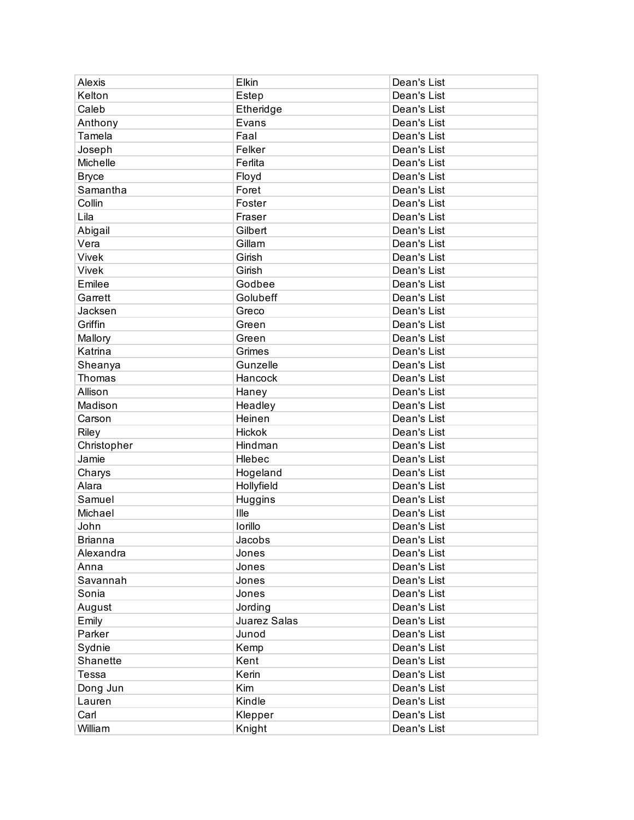| Alexis         | Elkin        | Dean's List |
|----------------|--------------|-------------|
| Kelton         | Estep        | Dean's List |
| Caleb          | Etheridge    | Dean's List |
| Anthony        | Evans        | Dean's List |
| Tamela         | Faal         | Dean's List |
| Joseph         | Felker       | Dean's List |
| Michelle       | Ferlita      | Dean's List |
| <b>Bryce</b>   | Floyd        | Dean's List |
| Samantha       | Foret        | Dean's List |
| Collin         | Foster       | Dean's List |
| Lila           | Fraser       | Dean's List |
| Abigail        | Gilbert      | Dean's List |
| Vera           | Gillam       | Dean's List |
| Vivek          | Girish       | Dean's List |
| Vivek          | Girish       | Dean's List |
| Emilee         | Godbee       | Dean's List |
| Garrett        | Golubeff     | Dean's List |
| Jacksen        | Greco        | Dean's List |
| Griffin        | Green        | Dean's List |
| Mallory        | Green        | Dean's List |
| Katrina        | Grimes       | Dean's List |
| Sheanya        | Gunzelle     | Dean's List |
| Thomas         | Hancock      | Dean's List |
| Allison        | Haney        | Dean's List |
| Madison        | Headley      | Dean's List |
| Carson         | Heinen       | Dean's List |
| Riley          | Hickok       | Dean's List |
| Christopher    | Hindman      | Dean's List |
| Jamie          | Hlebec       | Dean's List |
| Charys         | Hogeland     | Dean's List |
| Alara          | Hollyfield   | Dean's List |
| Samuel         | Huggins      | Dean's List |
| Michael        | Ille         | Dean's List |
| John           | Iorillo      | Dean's List |
| <b>Brianna</b> | Jacobs       | Dean's List |
| Alexandra      | Jones        | Dean's List |
| Anna           | Jones        | Dean's List |
| Savannah       | Jones        | Dean's List |
| Sonia          | Jones        | Dean's List |
| August         | Jording      | Dean's List |
| Emily          | Juarez Salas | Dean's List |
| Parker         | Junod        | Dean's List |
| Sydnie         | Kemp         | Dean's List |
| Shanette       | Kent         | Dean's List |
| Tessa          | Kerin        | Dean's List |
| Dong Jun       | Kim          | Dean's List |
| Lauren         | Kindle       | Dean's List |
| Carl           | Klepper      | Dean's List |
| William        | Knight       | Dean's List |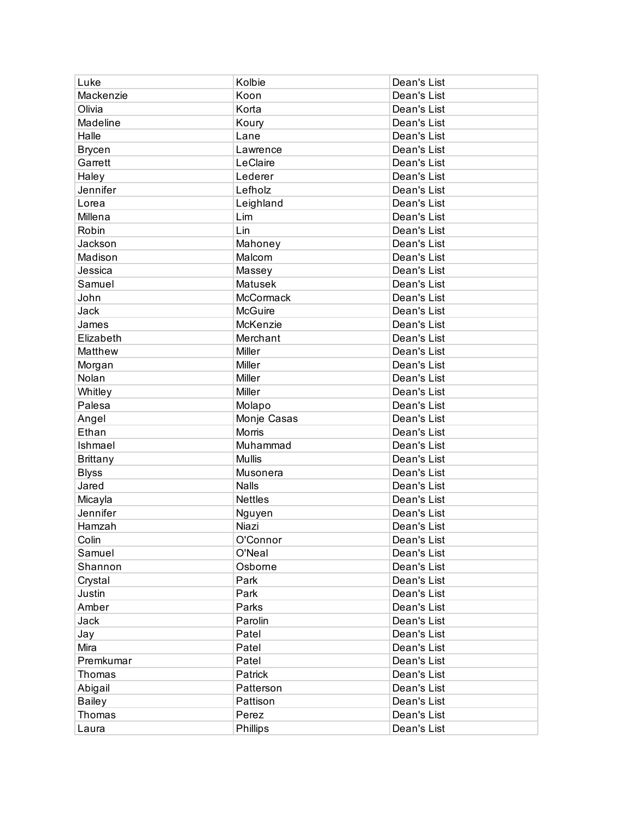| Luke            | Kolbie         | Dean's List |
|-----------------|----------------|-------------|
| Mackenzie       | Koon           | Dean's List |
| Olivia          | Korta          | Dean's List |
| Madeline        | Koury          | Dean's List |
| Halle           | Lane           | Dean's List |
| <b>Brycen</b>   | Lawrence       | Dean's List |
| Garrett         | LeClaire       | Dean's List |
| Haley           | Lederer        | Dean's List |
| Jennifer        | Lefholz        | Dean's List |
| Lorea           | Leighland      | Dean's List |
| Millena         | Lim            | Dean's List |
| Robin           | Lin            | Dean's List |
| Jackson         | Mahoney        | Dean's List |
| Madison         | Malcom         | Dean's List |
| Jessica         | Massey         | Dean's List |
| Samuel          | Matusek        | Dean's List |
| John            | McCormack      | Dean's List |
| Jack            | <b>McGuire</b> | Dean's List |
| James           | McKenzie       | Dean's List |
| Elizabeth       | Merchant       | Dean's List |
| Matthew         | Miller         | Dean's List |
| Morgan          | Miller         | Dean's List |
| Nolan           | Miller         | Dean's List |
| Whitley         | Miller         | Dean's List |
| Palesa          | Molapo         | Dean's List |
| Angel           | Monje Casas    | Dean's List |
| Ethan           | Morris         | Dean's List |
| Ishmael         | Muhammad       | Dean's List |
| <b>Brittany</b> | <b>Mullis</b>  | Dean's List |
| <b>Blyss</b>    | Musonera       | Dean's List |
| Jared           | <b>Nalls</b>   | Dean's List |
| Micayla         | <b>Nettles</b> | Dean's List |
| Jennifer        | Nguyen         | Dean's List |
| Hamzah          | Niazi          | Dean's List |
| Colin           | O'Connor       | Dean's List |
| Samuel          | O'Neal         | Dean's List |
| Shannon         | Osborne        | Dean's List |
| Crystal         | Park           | Dean's List |
| Justin          | Park           | Dean's List |
| Amber           | Parks          | Dean's List |
| Jack            | Parolin        | Dean's List |
| Jay             | Patel          | Dean's List |
| Mira            | Patel          | Dean's List |
| Premkumar       | Patel          | Dean's List |
| Thomas          | Patrick        | Dean's List |
| Abigail         | Patterson      | Dean's List |
| <b>Bailey</b>   | Pattison       | Dean's List |
| Thomas          | Perez          | Dean's List |
| Laura           | Phillips       | Dean's List |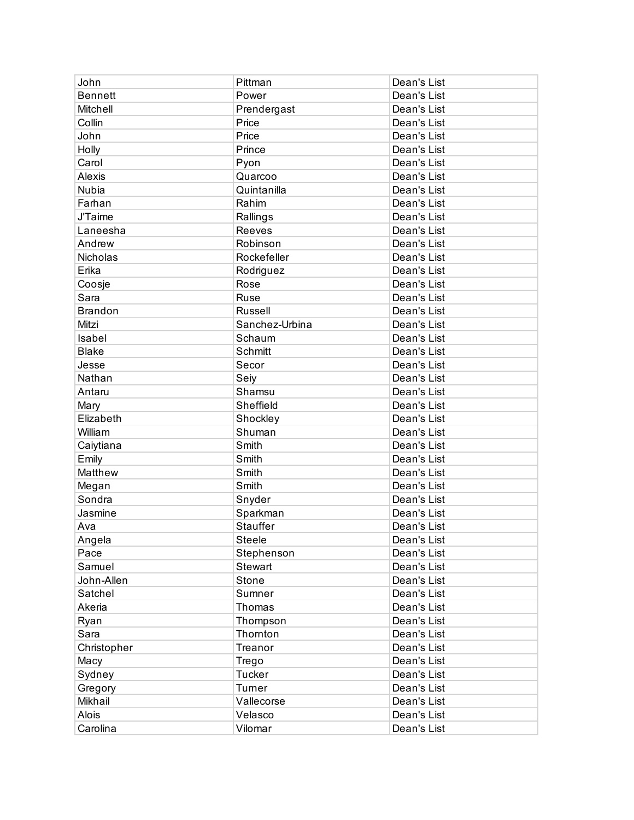| John           | Pittman         | Dean's List |
|----------------|-----------------|-------------|
| <b>Bennett</b> | Power           | Dean's List |
| Mitchell       | Prendergast     | Dean's List |
| Collin         | Price           | Dean's List |
| John           | Price           | Dean's List |
| Holly          | Prince          | Dean's List |
| Carol          | Pyon            | Dean's List |
| Alexis         | Quarcoo         | Dean's List |
| Nubia          | Quintanilla     | Dean's List |
| Farhan         | Rahim           | Dean's List |
| <b>J'Taime</b> | Rallings        | Dean's List |
| Laneesha       | Reeves          | Dean's List |
| Andrew         | Robinson        | Dean's List |
| Nicholas       | Rockefeller     | Dean's List |
| Erika          | Rodriguez       | Dean's List |
| Coosje         | Rose            | Dean's List |
| Sara           | Ruse            | Dean's List |
| <b>Brandon</b> | Russell         | Dean's List |
| Mitzi          | Sanchez-Urbina  | Dean's List |
| Isabel         | Schaum          | Dean's List |
| <b>Blake</b>   | Schmitt         | Dean's List |
| Jesse          | Secor           | Dean's List |
| Nathan         | Seiy            | Dean's List |
| Antaru         | Shamsu          | Dean's List |
| Mary           | Sheffield       | Dean's List |
| Elizabeth      | Shockley        | Dean's List |
| William        | Shuman          | Dean's List |
| Caiytiana      | Smith           | Dean's List |
| Emily          | Smith           | Dean's List |
| Matthew        | Smith           | Dean's List |
| Megan          | Smith           | Dean's List |
| Sondra         | Snyder          | Dean's List |
| Jasmine        | Sparkman        | Dean's List |
| Ava            | <b>Stauffer</b> | Dean's List |
| Angela         | Steele          | Dean's List |
| Pace           | Stephenson      | Dean's List |
| Samuel         | Stewart         | Dean's List |
| John-Allen     | Stone           | Dean's List |
| Satchel        | Sumner          | Dean's List |
| Akeria         | Thomas          | Dean's List |
| Ryan           | Thompson        | Dean's List |
| Sara           | Thornton        | Dean's List |
| Christopher    | Treanor         | Dean's List |
| Macy           | Trego           | Dean's List |
| Sydney         | <b>Tucker</b>   | Dean's List |
| Gregory        | Turner          | Dean's List |
| Mikhail        | Vallecorse      | Dean's List |
| Alois          | Velasco         | Dean's List |
| Carolina       | Vilomar         | Dean's List |